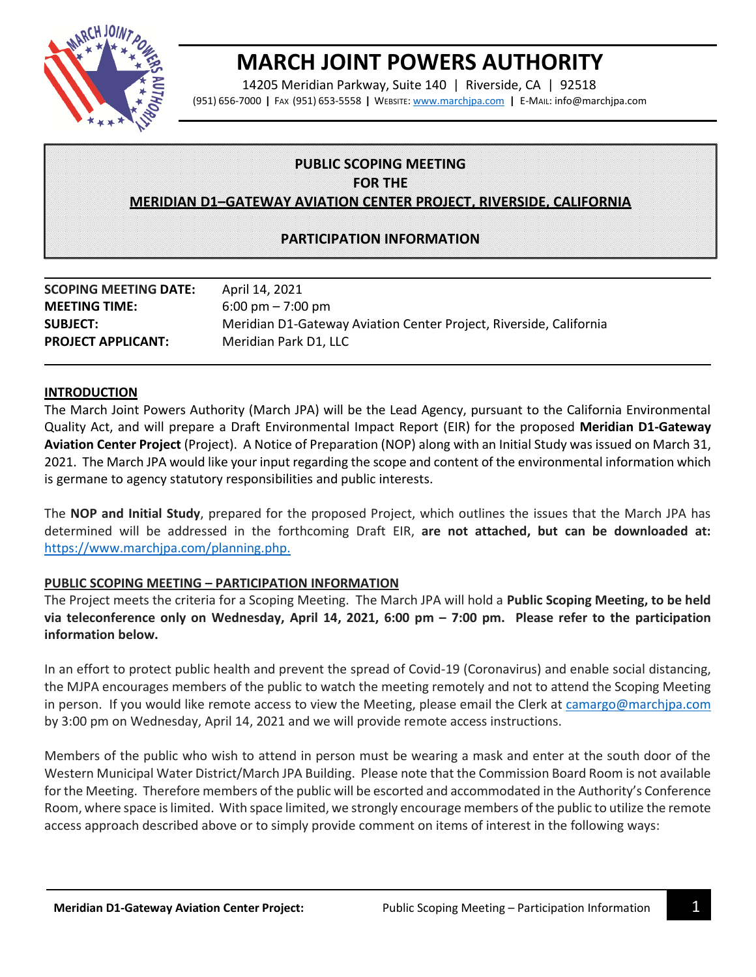

# **MARCH JOINT POWERS AUTHORITY**

14205 Meridian Parkway, Suite 140 | Riverside, CA | 92518 (951) 656-7000 **|** FAX (951) 653-5558 **|** WEBSITE: [www.marchjpa.com](http://www.marchjpa.com/) **|** E-MAIL: info@marchjpa.com

## **PUBLIC SCOPING MEETING**

**FOR THE**

**MERIDIAN D1–GATEWAY AVIATION CENTER PROJECT, RIVERSIDE, CALIFORNIA**

## **PARTICIPATION INFORMATION**

| <b>SCOPING MEETING DATE:</b> | April 14, 2021                                                     |
|------------------------------|--------------------------------------------------------------------|
| <b>MEETING TIME:</b>         | $6:00 \text{ pm} - 7:00 \text{ pm}$                                |
| <b>SUBJECT:</b>              | Meridian D1-Gateway Aviation Center Project, Riverside, California |
| <b>PROJECT APPLICANT:</b>    | Meridian Park D1, LLC                                              |

#### **INTRODUCTION**

The March Joint Powers Authority (March JPA) will be the Lead Agency, pursuant to the California Environmental Quality Act, and will prepare a Draft Environmental Impact Report (EIR) for the proposed **Meridian D1-Gateway Aviation Center Project** (Project). A Notice of Preparation (NOP) along with an Initial Study was issued on March 31, 2021. The March JPA would like your input regarding the scope and content of the environmental information which is germane to agency statutory responsibilities and public interests.

The **NOP and Initial Study**, prepared for the proposed Project, which outlines the issues that the March JPA has determined will be addressed in the forthcoming Draft EIR, **are not attached, but can be downloaded at:** [https://www.marchjpa.com/planning.php.](https://www.marchjpa.com/planning.php)

### **PUBLIC SCOPING MEETING – PARTICIPATION INFORMATION**

The Project meets the criteria for a Scoping Meeting. The March JPA will hold a **Public Scoping Meeting, to be held via teleconference only on Wednesday, April 14, 2021, 6:00 pm – 7:00 pm. Please refer to the participation information below.**

In an effort to protect public health and prevent the spread of Covid-19 (Coronavirus) and enable social distancing, the MJPA encourages members of the public to watch the meeting remotely and not to attend the Scoping Meeting in person. If you would like remote access to view the Meeting, please email the Clerk at [camargo@marchjpa.com](mailto:camargo@marchjpa.com) by 3:00 pm on Wednesday, April 14, 2021 and we will provide remote access instructions.

Members of the public who wish to attend in person must be wearing a mask and enter at the south door of the Western Municipal Water District/March JPA Building. Please note that the Commission Board Room is not available for the Meeting. Therefore members of the public will be escorted and accommodated in the Authority's Conference Room, where space is limited. With space limited, we strongly encourage members of the public to utilize the remote access approach described above or to simply provide comment on items of interest in the following ways: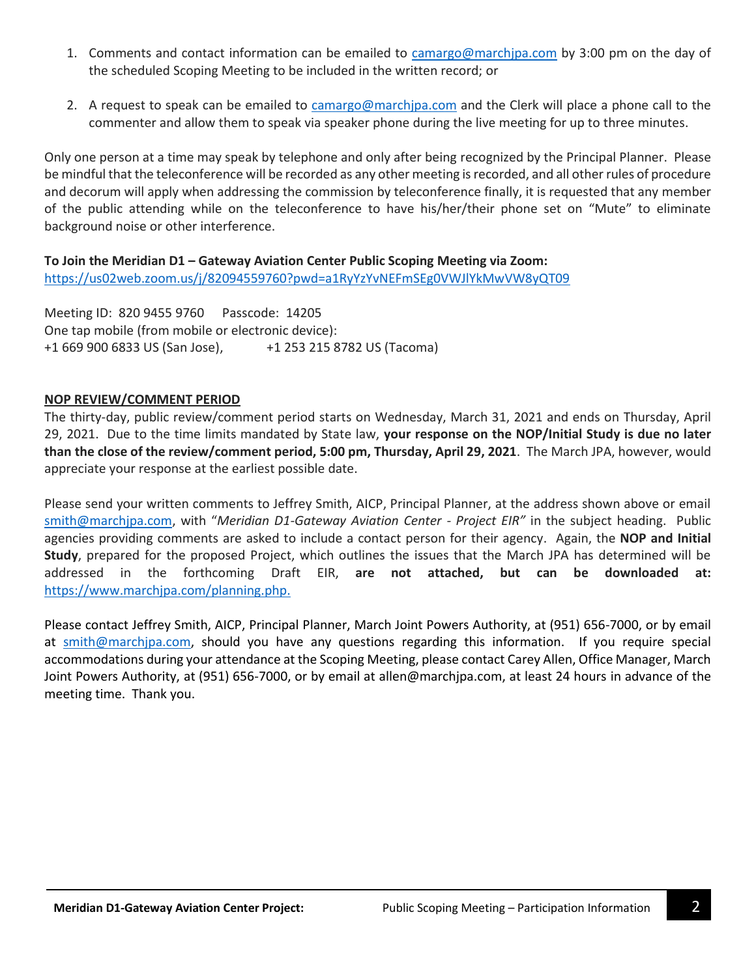- 1. Comments and contact information can be emailed to [camargo@marchjpa.com](mailto:camargo@marchjpa.com) by 3:00 pm on the day of the scheduled Scoping Meeting to be included in the written record; or
- 2. A request to speak can be emailed to [camargo@marchjpa.com](mailto:camargo@marchjpa.com) and the Clerk will place a phone call to the commenter and allow them to speak via speaker phone during the live meeting for up to three minutes.

Only one person at a time may speak by telephone and only after being recognized by the Principal Planner. Please be mindful that the teleconference will be recorded as any other meeting is recorded, and all other rules of procedure and decorum will apply when addressing the commission by teleconference finally, it is requested that any member of the public attending while on the teleconference to have his/her/their phone set on "Mute" to eliminate background noise or other interference.

**To Join the Meridian D1 – Gateway Aviation Center Public Scoping Meeting via Zoom:** <https://us02web.zoom.us/j/82094559760?pwd=a1RyYzYvNEFmSEg0VWJlYkMwVW8yQT09>

Meeting ID: 820 9455 9760 Passcode: 14205 One tap mobile (from mobile or electronic device): +1 669 900 6833 US (San Jose), +1 253 215 8782 US (Tacoma)

## **NOP REVIEW/COMMENT PERIOD**

The thirty-day, public review/comment period starts on Wednesday, March 31, 2021 and ends on Thursday, April 29, 2021. Due to the time limits mandated by State law, **your response on the NOP/Initial Study is due no later than the close of the review/comment period, 5:00 pm, Thursday, April 29, 2021**. The March JPA, however, would appreciate your response at the earliest possible date.

Please send your written comments to Jeffrey Smith, AICP, Principal Planner, at the address shown above or email [smith@marchjpa.com](mailto:smith@marchjpa.com), with "*Meridian D1-Gateway Aviation Center - Project EIR"* in the subject heading. Public agencies providing comments are asked to include a contact person for their agency. Again, the **NOP and Initial Study**, prepared for the proposed Project, which outlines the issues that the March JPA has determined will be addressed in the forthcoming Draft EIR, **are not attached, but can be downloaded at:** [https://www.marchjpa.com/planning.php.](https://www.marchjpa.com/planning.php)

Please contact Jeffrey Smith, AICP, Principal Planner, March Joint Powers Authority, at (951) 656-7000, or by email at smith@marchipa.com, should you have any questions regarding this information. If you require special accommodations during your attendance at the Scoping Meeting, please contact Carey Allen, Office Manager, March Joint Powers Authority, at (951) 656-7000, or by email at [allen@marchjpa.com,](mailto:allen@marchjpa.com) at least 24 hours in advance of the meeting time. Thank you.